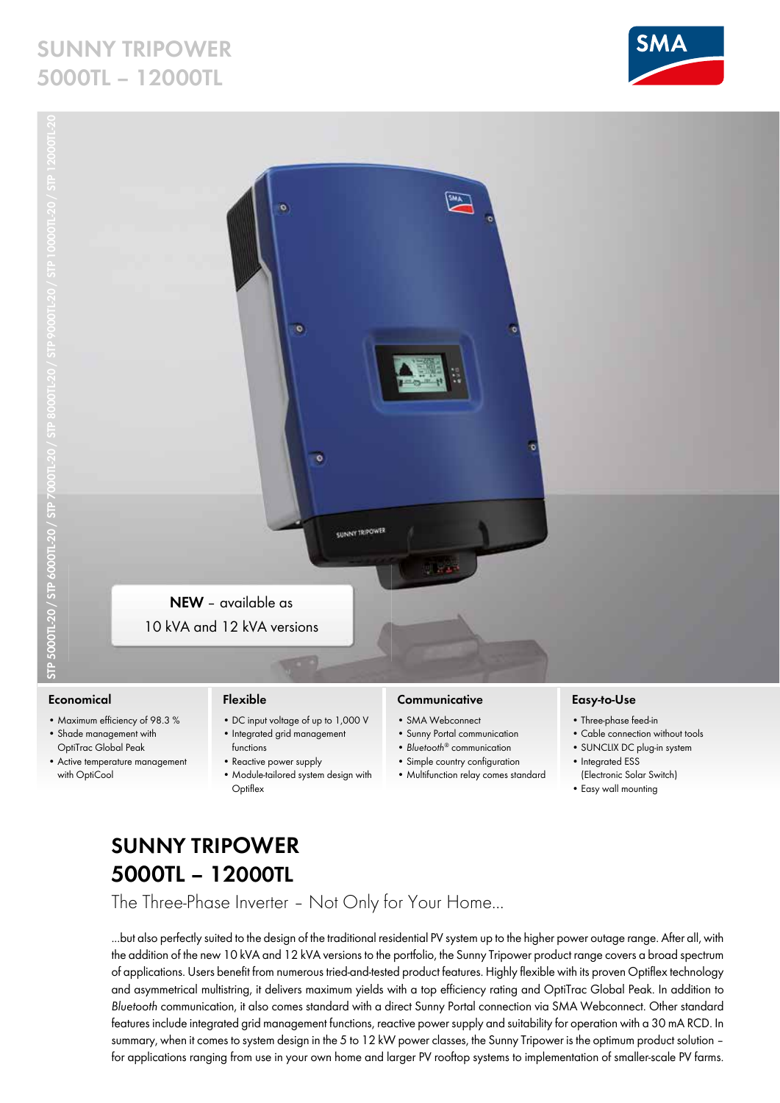## **SUNNY TRIPOWER 5000TL – 12000TL**





#### **Economical**

- Maximum efficiency of 98.3 %
- Shade management with OptiTrac Global Peak
- Active temperature management with OptiCool

#### **Flexible**

- DC input voltage of up to 1,000 V • Integrated grid management
- functions • Reactive power supply
- Module-tailored system design with **Optiflex**

### **Communicative**

- SMA Webconnect
- Sunny Portal communication
- *Bluetooth*® communication
- Simple country configuration
- Multifunction relay comes standard

#### **Easy-to-Use**

- Three-phase feed-in
- Cable connection without tools
- SUNCLIX DC plug-in system • Integrated ESS
- (Electronic Solar Switch)
- Easy wall mounting

### **SUNNY TRIPOWER 5000TL – 12000TL**

The Three-Phase Inverter – Not Only for Your Home...

...but also perfectly suited to the design of the traditional residential PV system up to the higher power outage range. After all, with the addition of the new 10 kVA and 12 kVA versions to the portfolio, the Sunny Tripower product range covers a broad spectrum of applications. Users benefit from numerous tried-and-tested product features. Highly flexible with its proven Optiflex technology and asymmetrical multistring, it delivers maximum yields with a top efficiency rating and OptiTrac Global Peak. In addition to *Bluetooth* communication, it also comes standard with a direct Sunny Portal connection via SMA Webconnect. Other standard features include integrated grid management functions, reactive power supply and suitability for operation with a 30 mA RCD. In summary, when it comes to system design in the 5 to 12 kW power classes, the Sunny Tripower is the optimum product solution – for applications ranging from use in your own home and larger PV rooftop systems to implementation of smaller-scale PV farms.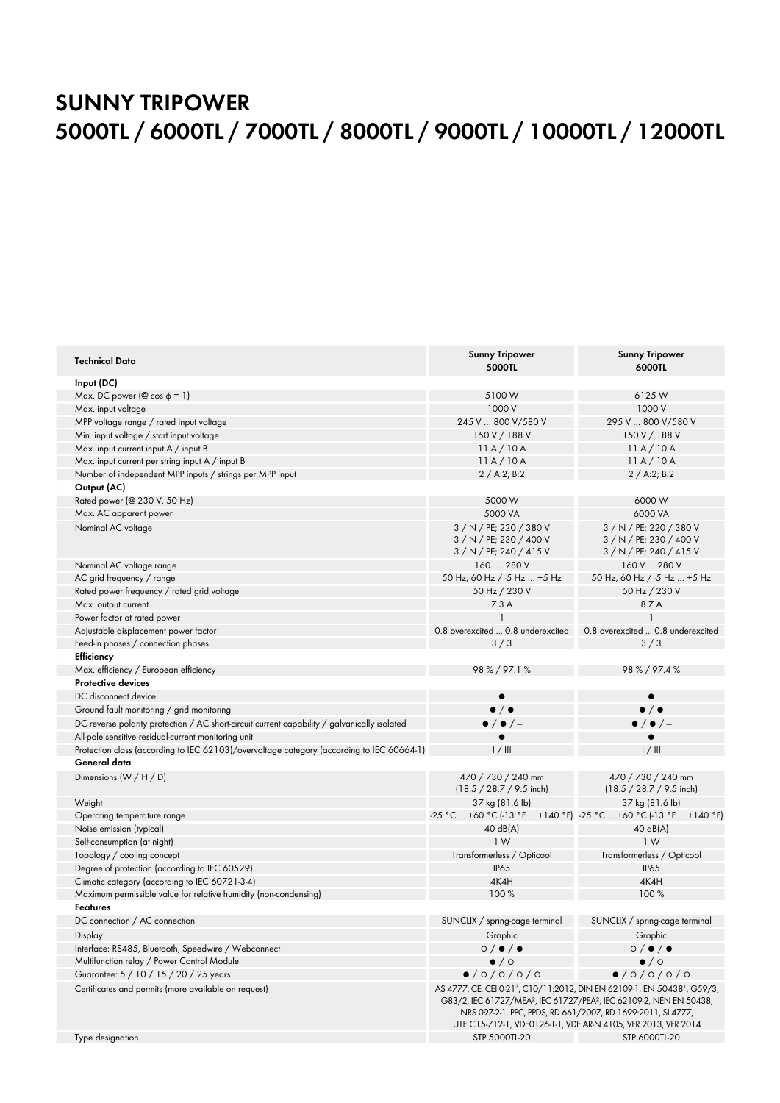# **SUNNY TRIPOWER 5000TL / 6000TL / 7000TL / 8000TL / 9000TL / 10000TL / 12000TL**

| <b>Technical Data</b>                                                                        | <b>Sunny Tripower</b><br>5000TL                     | <b>Sunny Tripower</b><br>6000TL                                                                                                                                                                                                                                                                                                 |
|----------------------------------------------------------------------------------------------|-----------------------------------------------------|---------------------------------------------------------------------------------------------------------------------------------------------------------------------------------------------------------------------------------------------------------------------------------------------------------------------------------|
| Input (DC)                                                                                   |                                                     |                                                                                                                                                                                                                                                                                                                                 |
| Max. DC power ( $\textcircled{e}$ cos $\varphi = 1$ )                                        | 5100W                                               | 6125W                                                                                                                                                                                                                                                                                                                           |
| Max. input voltage                                                                           | 1000 V                                              | 1000 V                                                                                                                                                                                                                                                                                                                          |
| MPP voltage range / rated input voltage                                                      | 245 V  800 V/580 V                                  | 295 V  800 V/580 V                                                                                                                                                                                                                                                                                                              |
| Min. input voltage / start input voltage                                                     | 150 V / 188 V                                       | 150 V / 188 V                                                                                                                                                                                                                                                                                                                   |
| Max. input current input A / input B                                                         | 11A/10A                                             | 11A/10A                                                                                                                                                                                                                                                                                                                         |
| Max. input current per string input A / input B                                              | 11A/10A                                             | 11A/10A                                                                                                                                                                                                                                                                                                                         |
| Number of independent MPP inputs / strings per MPP input                                     | 2 / A:2; B:2                                        | 2 / A:2; B:2                                                                                                                                                                                                                                                                                                                    |
| Output (AC)                                                                                  |                                                     |                                                                                                                                                                                                                                                                                                                                 |
| Rated power (@ 230 V, 50 Hz)                                                                 | 5000 W                                              | 6000W                                                                                                                                                                                                                                                                                                                           |
| Max. AC apparent power                                                                       | 5000 VA                                             | 6000 VA                                                                                                                                                                                                                                                                                                                         |
| Nominal AC voltage                                                                           | 3 / N / PE; 220 / 380 V                             | 3 / N / PE; 220 / 380 V                                                                                                                                                                                                                                                                                                         |
|                                                                                              | 3 / N / PE; 230 / 400 V<br>$3/N / PE$ ; 240 / 415 V | 3 / N / PE; 230 / 400 V<br>$3/N / PE$ ; 240 / 415 V                                                                                                                                                                                                                                                                             |
| Nominal AC voltage range                                                                     | 160  280 V                                          | 160 V  280 V                                                                                                                                                                                                                                                                                                                    |
| AC grid frequency / range                                                                    | 50 Hz, 60 Hz / -5 Hz  +5 Hz                         | 50 Hz, 60 Hz / -5 Hz  +5 Hz                                                                                                                                                                                                                                                                                                     |
| Rated power frequency / rated grid voltage                                                   | 50 Hz / 230 V                                       | 50 Hz / 230 V                                                                                                                                                                                                                                                                                                                   |
| Max. output current                                                                          | 7.3A                                                | 8.7 A                                                                                                                                                                                                                                                                                                                           |
| Power factor at rated power                                                                  |                                                     | $\mathbf{1}$                                                                                                                                                                                                                                                                                                                    |
| Adjustable displacement power factor                                                         | 0.8 overexcited  0.8 underexcited                   | 0.8 overexcited  0.8 underexcited                                                                                                                                                                                                                                                                                               |
| Feed-in phases / connection phases                                                           | 3/3                                                 | 3/3                                                                                                                                                                                                                                                                                                                             |
| Efficiency                                                                                   |                                                     |                                                                                                                                                                                                                                                                                                                                 |
| Max. efficiency / European efficiency                                                        | 98 % / 97.1 %                                       | 98 % / 97.4 %                                                                                                                                                                                                                                                                                                                   |
| <b>Protective devices</b>                                                                    |                                                     |                                                                                                                                                                                                                                                                                                                                 |
| DC disconnect device                                                                         |                                                     |                                                                                                                                                                                                                                                                                                                                 |
| Ground fault monitoring / grid monitoring                                                    | $\bullet$ / $\bullet$                               | $\bullet$ / $\bullet$                                                                                                                                                                                                                                                                                                           |
| DC reverse polarity protection / AC short-circuit current capability / galvanically isolated | $\bullet$ / $\bullet$ / -                           | $\bullet$ / $\bullet$ / -                                                                                                                                                                                                                                                                                                       |
| All-pole sensitive residual-current monitoring unit                                          |                                                     |                                                                                                                                                                                                                                                                                                                                 |
| Protection class (according to IEC 62103)/overvoltage category (according to IEC 60664-1)    | 1/111                                               | 1/111                                                                                                                                                                                                                                                                                                                           |
| General data                                                                                 |                                                     |                                                                                                                                                                                                                                                                                                                                 |
| Dimensions $(W/H/D)$                                                                         | 470 / 730 / 240 mm                                  | 470 / 730 / 240 mm                                                                                                                                                                                                                                                                                                              |
|                                                                                              | $(18.5 / 28.7 / 9.5$ inch)                          | $(18.5 / 28.7 / 9.5$ inch)                                                                                                                                                                                                                                                                                                      |
| Weight                                                                                       | 37 kg (81.6 lb)                                     | 37 kg (81.6 lb)                                                                                                                                                                                                                                                                                                                 |
| Operating temperature range                                                                  |                                                     | -25 °C  +60 °C (-13 °F  +140 °F) -25 °C  +60 °C (-13 °F  +140 °F)                                                                                                                                                                                                                                                               |
| Noise emission (typical)                                                                     | $40 \text{ dB}(A)$                                  | 40 dB(A)                                                                                                                                                                                                                                                                                                                        |
| Self-consumption (at night)                                                                  | 1W                                                  | 1W                                                                                                                                                                                                                                                                                                                              |
| Topology / cooling concept                                                                   | Transformerless / Opticool                          | Transformerless / Opticool                                                                                                                                                                                                                                                                                                      |
| Degree of protection (according to IEC 60529)                                                | <b>IP65</b>                                         | <b>IP65</b>                                                                                                                                                                                                                                                                                                                     |
| Climatic category (according to IEC 60721-3-4)                                               | 4K4H                                                | 4K4H                                                                                                                                                                                                                                                                                                                            |
| Maximum permissible value for relative humidity (non-condensing)                             | 100%                                                | 100%                                                                                                                                                                                                                                                                                                                            |
| Features                                                                                     |                                                     |                                                                                                                                                                                                                                                                                                                                 |
| DC connection / AC connection                                                                | SUNCLIX / spring-cage terminal                      | SUNCLIX / spring-cage terminal                                                                                                                                                                                                                                                                                                  |
| Display                                                                                      | Graphic                                             | Graphic                                                                                                                                                                                                                                                                                                                         |
| Interface: RS485, Bluetooth, Speedwire / Webconnect                                          | $\circ$ / $\bullet$ / $\bullet$                     | $\circ$ / $\bullet$ / $\bullet$                                                                                                                                                                                                                                                                                                 |
| Multifunction relay / Power Control Module                                                   | $\bullet$ / $\circ$                                 | $\bullet$ / $\circ$                                                                                                                                                                                                                                                                                                             |
| Guarantee: 5 / 10 / 15 / 20 / 25 years                                                       | 0/0/0/0/0                                           | 0/0/0/0/0                                                                                                                                                                                                                                                                                                                       |
| Certificates and permits (more available on request)                                         |                                                     | AS 4777, CE, CEI 0-21 <sup>3</sup> , C10/11:2012, DIN EN 62109-1, EN 50438 <sup>1</sup> , G59/3,<br>G83/2, IEC 61727/MEA <sup>2</sup> , IEC 61727/PEA <sup>2</sup> , IEC 62109-2, NEN EN 50438,<br>NRS 097-2-1, PPC, PPDS, RD 661/2007, RD 1699:2011, SI 4777,<br>UTE C15-712-1, VDE0126-1-1, VDE AR-N 4105, VFR 2013, VFR 2014 |
| Type designation                                                                             | STP 5000TL-20                                       | <b>STP 6000TL-20</b>                                                                                                                                                                                                                                                                                                            |
|                                                                                              |                                                     |                                                                                                                                                                                                                                                                                                                                 |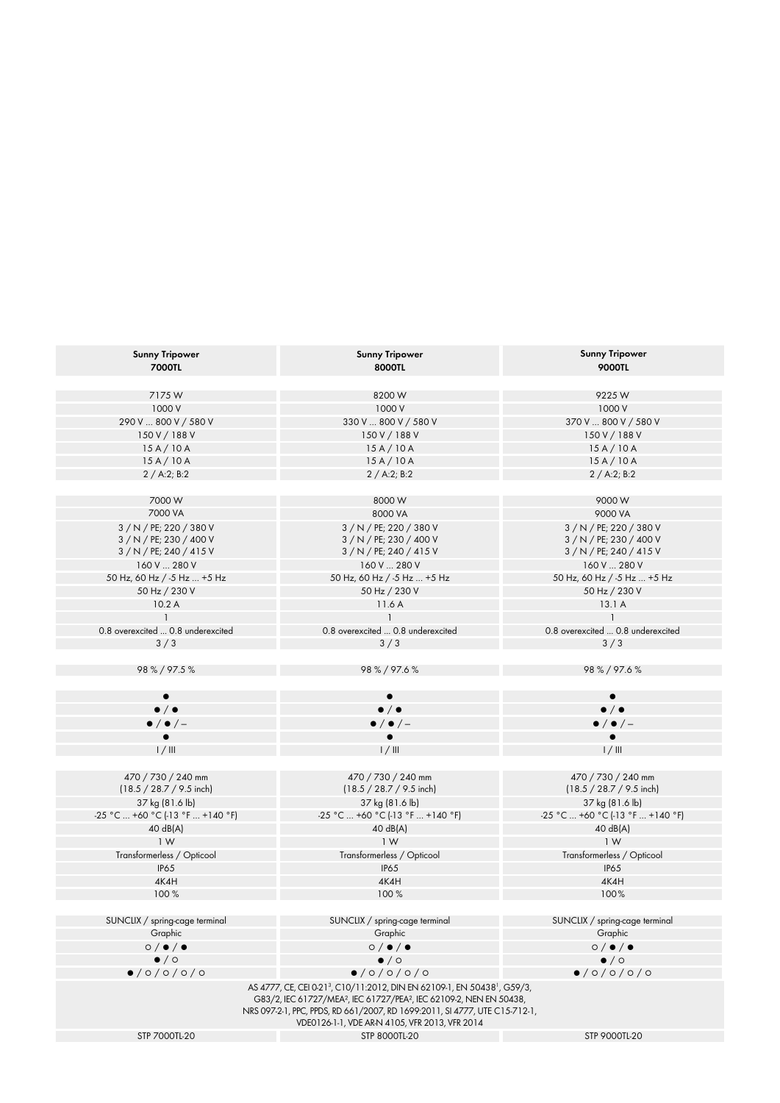| <b>Sunny Tripower</b><br><b>7000TL</b>                                       | <b>Sunny Tripower</b><br>8000TL                                                                                                                                                                 | <b>Sunny Tripower</b><br><b>9000TL</b>                                       |
|------------------------------------------------------------------------------|-------------------------------------------------------------------------------------------------------------------------------------------------------------------------------------------------|------------------------------------------------------------------------------|
| 7175W                                                                        | 8200W                                                                                                                                                                                           | 9225W                                                                        |
| 1000 V                                                                       | 1000 V                                                                                                                                                                                          | 1000 V                                                                       |
| 290 V  800 V / 580 V                                                         | 330 V  800 V / 580 V                                                                                                                                                                            | 370 V  800 V / 580 V                                                         |
| 150 V / 188 V                                                                | 150 V / 188 V                                                                                                                                                                                   | 150 V / 188 V                                                                |
| 15A/10A                                                                      | 15A/10A                                                                                                                                                                                         | 15A/10A                                                                      |
| 15A/10A                                                                      | 15A/10A                                                                                                                                                                                         | 15A/10A                                                                      |
| 2 / A:2; B:2                                                                 | 2 / A:2; B:2                                                                                                                                                                                    | 2 / A:2; B:2                                                                 |
|                                                                              |                                                                                                                                                                                                 |                                                                              |
| 7000W                                                                        | 8000W                                                                                                                                                                                           | 9000W                                                                        |
| 7000 VA                                                                      | 8000 VA                                                                                                                                                                                         | 9000 VA                                                                      |
| 3 / N / PE; 220 / 380 V<br>3 / N / PE; 230 / 400 V<br>$3/N/PE$ ; 240 / 415 V | 3 / N / PE; 220 / 380 V<br>3 / N / PE; 230 / 400 V<br>$3/N/PE$ ; 240 / 415 V                                                                                                                    | 3 / N / PE; 220 / 380 V<br>3 / N / PE; 230 / 400 V<br>$3/N/PE$ ; 240 / 415 V |
| 160 V  280 V                                                                 | 160 V  280 V                                                                                                                                                                                    | 160 V  280 V                                                                 |
| 50 Hz, 60 Hz / -5 Hz  +5 Hz                                                  | 50 Hz, 60 Hz / -5 Hz  +5 Hz                                                                                                                                                                     | 50 Hz, 60 Hz / -5 Hz  +5 Hz                                                  |
| 50 Hz / 230 V                                                                | 50 Hz / 230 V                                                                                                                                                                                   | 50 Hz / 230 V                                                                |
| 10.2A                                                                        | 11.6 A                                                                                                                                                                                          | 13.1A                                                                        |
|                                                                              |                                                                                                                                                                                                 |                                                                              |
| 0.8 overexcited  0.8 underexcited                                            | 0.8 overexcited  0.8 underexcited                                                                                                                                                               | 0.8 overexcited  0.8 underexcited                                            |
| 3/3                                                                          | 3/3                                                                                                                                                                                             | 3/3                                                                          |
| 98 % / 97.5 %                                                                | 98%/97.6%                                                                                                                                                                                       | 98%/97.6%                                                                    |
| $\bullet$ / $\bullet$                                                        | $\bullet$ / $\bullet$                                                                                                                                                                           | $\bullet$ / $\bullet$                                                        |
| $\bullet$ / $\bullet$ / -                                                    | $\bullet$ / $\bullet$ / -                                                                                                                                                                       | $\bullet$ / $\bullet$ / -                                                    |
|                                                                              |                                                                                                                                                                                                 |                                                                              |
| 1/111                                                                        | 1/111                                                                                                                                                                                           | 1/111                                                                        |
|                                                                              |                                                                                                                                                                                                 |                                                                              |
| 470 / 730 / 240 mm<br>$(18.5 / 28.7 / 9.5$ inch)                             | 470 / 730 / 240 mm<br>$(18.5 / 28.7 / 9.5$ inch)                                                                                                                                                | 470 / 730 / 240 mm<br>$(18.5 / 28.7 / 9.5$ inch)                             |
| 37 kg (81.6 lb)                                                              | 37 kg (81.6 lb)                                                                                                                                                                                 | 37 kg (81.6 lb)                                                              |
| -25 °C  +60 °C (-13 °F  +140 °F)                                             | -25 °C  +60 °C (-13 °F  +140 °F)                                                                                                                                                                | -25 °C  +60 °C (-13 °F  +140 °F)                                             |
| 40 dB(A)                                                                     | 40 dB(A)                                                                                                                                                                                        | 40 dB(A)                                                                     |
| 1 W                                                                          | 1W                                                                                                                                                                                              | 1W                                                                           |
| Transformerless / Opticool                                                   | Transformerless / Opticool                                                                                                                                                                      | Transformerless / Opticool                                                   |
| <b>IP65</b>                                                                  | <b>IP65</b>                                                                                                                                                                                     | <b>IP65</b>                                                                  |
| 4K4H                                                                         | 4K4H                                                                                                                                                                                            | 4K4H                                                                         |
| 100%                                                                         | 100%                                                                                                                                                                                            | 100%                                                                         |
|                                                                              |                                                                                                                                                                                                 |                                                                              |
| SUNCLIX / spring-cage terminal                                               | SUNCLIX / spring-cage terminal                                                                                                                                                                  | SUNCLIX / spring-cage terminal                                               |
| Graphic                                                                      | Graphic                                                                                                                                                                                         | Graphic                                                                      |
| $\circ$ / $\bullet$ / $\bullet$                                              | $\circ$ / $\bullet$ / $\bullet$                                                                                                                                                                 | $\circ$ / $\bullet$ / $\bullet$                                              |
| $\bullet$ / $\circ$                                                          | $\bullet$ / $\circ$                                                                                                                                                                             | $\bullet$ / $\circ$                                                          |
| 0/0/0/0/0                                                                    | 0/0/0/0/0                                                                                                                                                                                       | 0/0/0/0/0                                                                    |
|                                                                              | AS 4777, CE, CEI 0-21 <sup>3</sup> , C10/11:2012, DIN EN 62109-1, EN 50438 <sup>1</sup> , G59/3,<br>G83/2, IEC 61727/MEA <sup>2</sup> , IEC 61727/PEA <sup>2</sup> , IEC 62109-2, NEN EN 50438, |                                                                              |
|                                                                              | NRS 097-2-1, PPC, PPDS, RD 661/2007, RD 1699:2011, SI 4777, UTE C15-712-1,<br>VDE0126-1-1, VDE AR-N 4105, VFR 2013, VFR 2014                                                                    |                                                                              |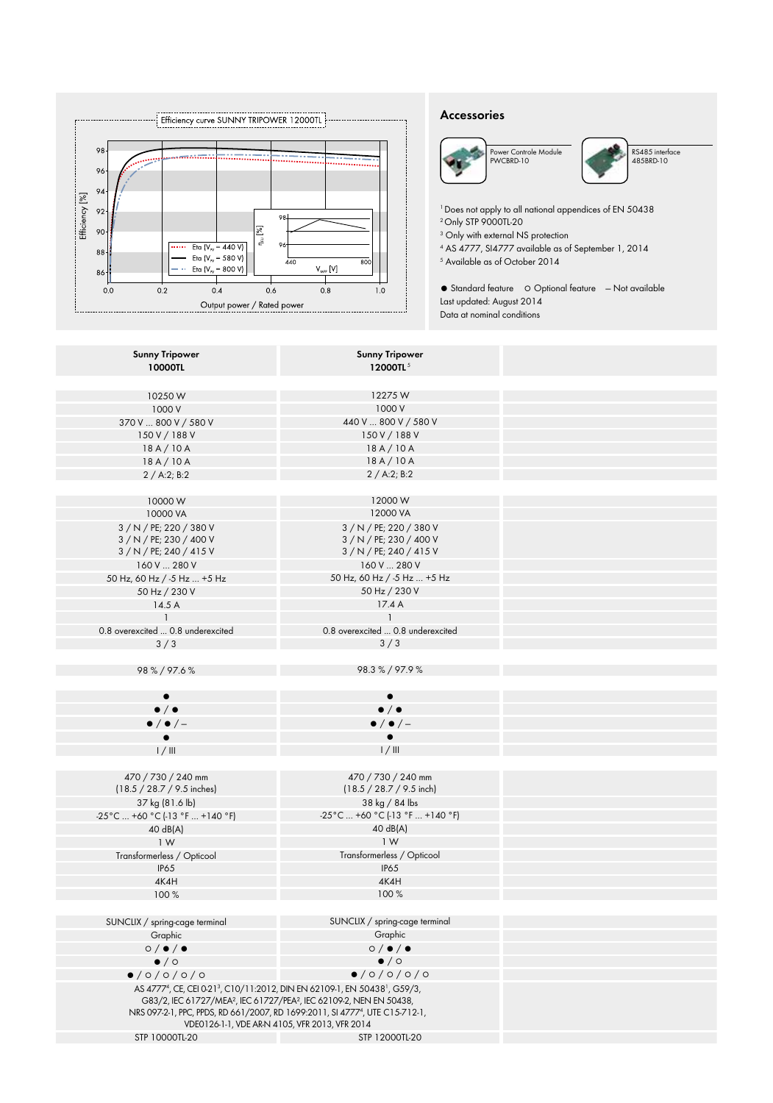

### **Accessories**





RS485 interface 485BRD-10

<sup>1</sup> Does not apply to all national appendices of EN 50438 2Only STP 9000TL-20

3 Only with external NS protection

4 AS 4777, SI4777 available as of September 1, 2014 5 Available as of October 2014

● Standard feature ○ Optional feature — Not available Last updated: August 2014 Data at nominal conditions

| <b>Sunny Tripower</b>             | <b>Sunny Tripower</b>                                                                                          |
|-----------------------------------|----------------------------------------------------------------------------------------------------------------|
| 10000TL                           | 12000TL <sup>5</sup>                                                                                           |
|                                   |                                                                                                                |
| 10250W                            | 12275W                                                                                                         |
| 1000 V                            | 1000 V                                                                                                         |
| 370 V  800 V / 580 V              | 440 V  800 V / 580 V                                                                                           |
| 150 V / 188 V                     | 150 V / 188 V                                                                                                  |
| 18A/10A                           | 18A/10A                                                                                                        |
| 18A/10A                           | 18A/10A                                                                                                        |
| 2 / A:2; B:2                      | 2 / A:2; B:2                                                                                                   |
|                                   |                                                                                                                |
| 10000W                            | 12000W                                                                                                         |
| 10000 VA                          | 12000 VA                                                                                                       |
| 3 / N / PE; 220 / 380 V           | 3 / N / PE; 220 / 380 V                                                                                        |
| 3 / N / PE; 230 / 400 V           | 3 / N / PE; 230 / 400 V                                                                                        |
| 3 / N / PE; 240 / 415 V           | 3 / N / PE; 240 / 415 V                                                                                        |
| 160 V  280 V                      | 160 V  280 V                                                                                                   |
| 50 Hz, 60 Hz / -5 Hz  +5 Hz       | 50 Hz, 60 Hz / -5 Hz  +5 Hz                                                                                    |
| 50 Hz / 230 V                     | 50 Hz / 230 V                                                                                                  |
| 14.5A                             | 17.4A                                                                                                          |
| $\mathbf{1}$                      | $\mathbf{1}$                                                                                                   |
| 0.8 overexcited  0.8 underexcited | 0.8 overexcited  0.8 underexcited                                                                              |
| 3/3                               | 3/3                                                                                                            |
|                                   |                                                                                                                |
| 98%/97.6%                         | 98.3%/97.9%                                                                                                    |
|                                   |                                                                                                                |
|                                   |                                                                                                                |
| $\bullet$ / $\bullet$             | $\bullet$ / $\bullet$                                                                                          |
| $\bullet$ / $\bullet$ / -         | $\bullet$ / $\bullet$ / -                                                                                      |
|                                   | $\bullet$                                                                                                      |
| 1/111                             | 1/111                                                                                                          |
|                                   |                                                                                                                |
| 470 / 730 / 240 mm                | 470 / 730 / 240 mm                                                                                             |
| (18.5 / 28.7 / 9.5 inches)        | $(18.5 / 28.7 / 9.5$ inch)                                                                                     |
| 37 kg (81.6 lb)                   | 38 kg / 84 lbs                                                                                                 |
| -25°C  +60 °C (-13 °F  +140 °F)   | -25°C  +60 °C (-13 °F  +140 °F)                                                                                |
| 40 dB(A)                          | 40 dB(A)                                                                                                       |
| 1 W                               | 1W                                                                                                             |
| Transformerless / Opticool        | Transformerless / Opticool                                                                                     |
| <b>IP65</b>                       | <b>IP65</b>                                                                                                    |
| 4K4H                              | 4K4H                                                                                                           |
| 100%                              | 100%                                                                                                           |
|                                   |                                                                                                                |
| SUNCLIX / spring-cage terminal    | SUNCLIX / spring-cage terminal                                                                                 |
| Graphic                           | Graphic                                                                                                        |
| 0/①                               | $\circ$ / $\bullet$ / $\bullet$                                                                                |
| $\bullet$ / $\circ$               | $\bullet$ / $\circ$                                                                                            |
| 0/0/0/0/0                         | 0/0/0/0/0                                                                                                      |
|                                   | AS 4777 <sup>4</sup> , CE, CEI 0-21 <sup>3</sup> , C10/11:2012, DIN EN 62109-1, EN 50438 <sup>1</sup> , G59/3, |
|                                   | G83/2, IEC 61727/MEA <sup>2</sup> , IEC 61727/PEA <sup>2</sup> , IEC 62109-2, NEN EN 50438,                    |
|                                   | NRS 097-2-1, PPC, PPDS, RD 661/2007, RD 1699:2011, SI 47774, UTE C15-712-1,                                    |
|                                   | VDE0126-1-1, VDE AR-N 4105, VFR 2013, VFR 2014                                                                 |
| STP 10000TL-20                    | STP 12000TL-20                                                                                                 |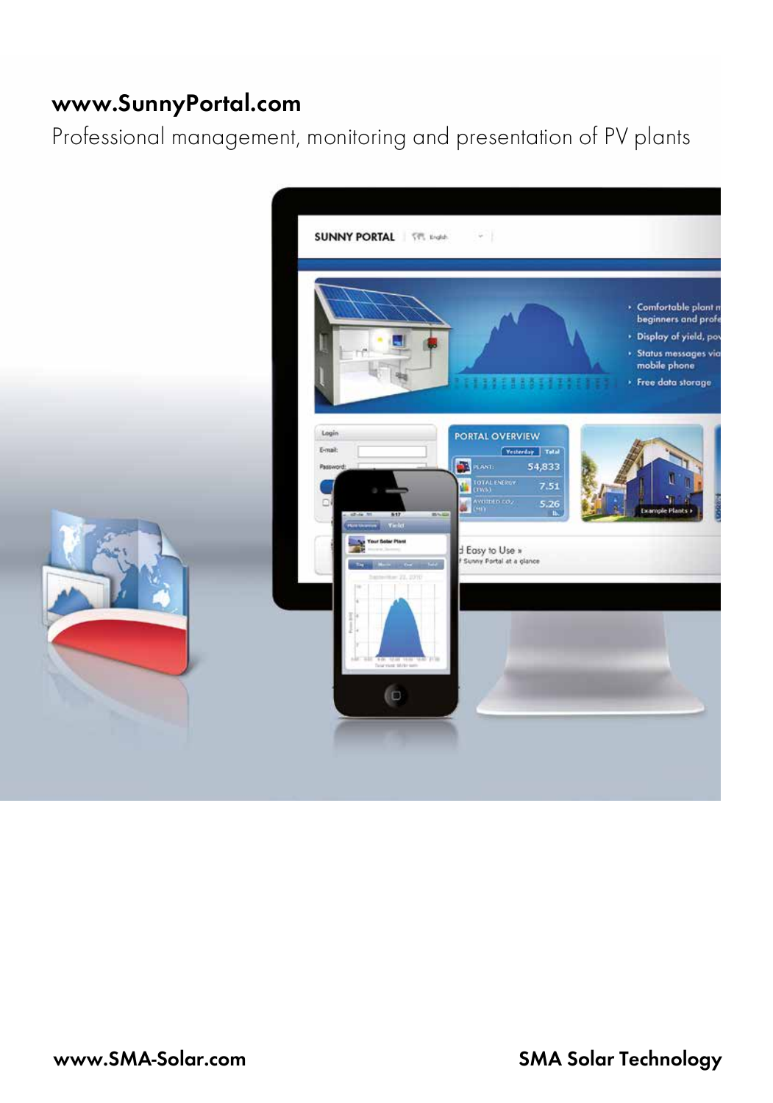# **www.SunnyPortal.com**

Professional management, monitoring and presentation of PV plants